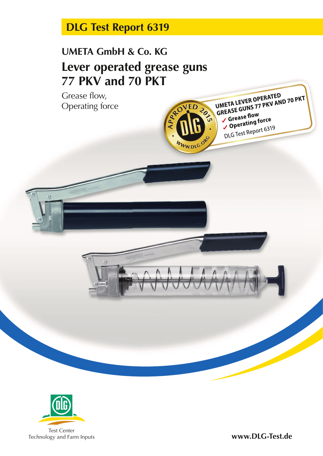## **DLG Test Report 6319**

Grease flow,

 $\mathbb{R}$ 

Operating force

# **UMETA GmbH & Co. KG Lever operated grease guns 77 PKV and 70 PKT**

Test Center Technology and Farm Inputs

**www.DLG-Test.de**

UMETA LEVER OPERATED

REASE down<br>Crease flow Grease flow<br>Operating force DLG Test Report 6319

2020

ED

WW.DLG.O

UMETA LEVER OPERATED<br>GREASE GUNS 77 PKV AND 70 PKT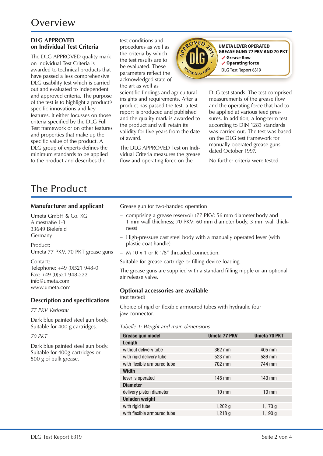#### **DLG APPROVED on Individual Test Criteria**

The DLG APPROVED quality mark on Individual Test Criteria is awarded to technical products that have passed a less comprehensive DLG usability test which is carried out and evaluated to independent and approved criteria. The purpose of the test is to highlight a product's specific innovations and key features. It either focusses on those criteria specified by the DLG Full Test framework or on other features and properties that make up the specific value of the product. A DLG group of experts defines the minimum standards to be applied to the product and describes the

test conditions and procedures as well as the criteria by which the test results are to be evaluated. These parameters reflect the acknowledged state of the art as well as



The DLG APPROVED Test on Individual Criteria measures the grease flow and operating force on the



DLG test stands. The test comprised measurements of the grease flow and the operating force that had to be applied at various feed pressures. In addition, a long-term test according to DIN 1283 standards was carried out. The test was based on the DLG test framework for manually operated grease guns dated October 1997.

No further criteria were tested.

### The Product

#### **Manufacturer and applicant**

Umeta GmbH & Co. KG Almestraße 1-3 33649 Bielefeld Germany

Product: Umeta 77 PKV, 70 PKT grease guns

Contact: Telephone: +49 (0)521 948-0 Fax: +49 (0)521 948-222 info@umeta.com www.umeta.com

#### **Description and specifications**

#### *77 PKV Variostar*

Dark blue painted steel gun body. Suitable for 400 g cartridges.

#### *70 PKT*

Dark blue painted steel gun body. Suitable for 400g cartridges or 500 g of bulk grease.

Grease gun for two-handed operation

- comprising a grease reservoir (77 PKV: 56 mm diameter body and 1 mm wall thickness; 70 PKV: 60 mm diameter body, 3 mm wall thickness)
- High-pressure cast steel body with a manually operated lever (with plastic coat handle)
- M 10 x 1 or R 1/8" threaded connection.

Suitable for grease cartridge or filling device loading.

The grease guns are supplied with a standard filling nipple or an optional air release valve.

#### **Optional accessories are available**

(not tested)

Choice of rigid or flexible armoured tubes with hydraulic four jaw connector.

#### *Tabelle 1: Weight and main dimensions*

| Grease gun model            | <b>Umeta 77 PKV</b> | <b>Umeta 70 PKT</b> |
|-----------------------------|---------------------|---------------------|
| Length                      |                     |                     |
| without delivery tube       | 362 mm              | 405 mm              |
| with rigid delivery tube    | 523 mm              | 586 mm              |
| with flexible armoured tube | 702 mm              | 744 mm              |
| <b>Width</b>                |                     |                     |
| lever is operated           | 145 mm              | $143$ mm            |
| <b>Diameter</b>             |                     |                     |
| delivery piston diameter    | $10 \text{ mm}$     | $10 \text{ mm}$     |
| <b>Unladen weight</b>       |                     |                     |
| with rigid tube             | $1,202$ g           | $1,173$ q           |
| with flexible armoured tube | $1,218$ q           | 1,190q              |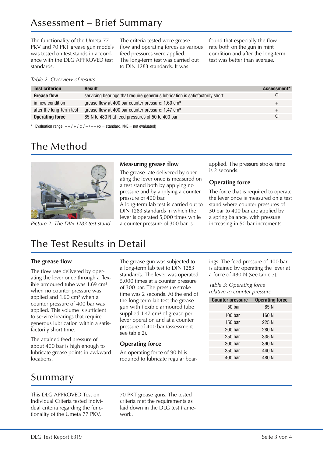The functionality of the Umeta 77 PKV and 70 PKT grease gun models was tested on test stands in accordance with the DLG APPROVED test standards.

The criteria tested were grease flow and operating forces as various feed pressures were applied. The long-term test was carried out to DIN 1283 standards. It was

found that especially the flow rate both on the gun in mint condition and after the long-term test was better than average.

#### *Table 2: Overview of results*

| <b>Test criterion</b>    | <b>Result</b>                                                                | Assessment* |
|--------------------------|------------------------------------------------------------------------------|-------------|
| <b>Grease flow</b>       | servicing bearings that require generous lubrication is satisfactorily short |             |
| in new condition         | grease flow at 400 bar counter pressure: 1,60 cm <sup>3</sup>                | +           |
| after the long-term test | grease flow at 400 bar counter pressure: 1,47 cm <sup>3</sup>                | +           |
| <b>Operating force</b>   | 85 N to 480 N at feed pressures of 50 to 400 bar                             | Ω           |
|                          |                                                                              |             |

\* Evaluation range:  $++$  /  $+$  /  $\circ$  /  $-$  /  $--$  ( $\circ$  = standard, N/E = not evaluated)

### The Method



#### **Measuring grease flow**

The grease rate delivered by operating the lever once is measured on a test stand both by applying no pressure and by applying a counter pressure of 400 bar. A long-term lab test is carried out to

DIN 1283 standards in which the lever is operated 5,000 times while Picture 2: The DIN 1283 test stand a counter pressure of 300 bar is increasing in 50 bar increments.

applied. The pressure stroke time is 2 seconds.

#### **Operating force**

The force that is required to operate the lever once is measured on a test stand where counter pressures of 50 bar to 400 bar are applied by a spring balance, with pressure

### The Test Results in Detail

#### **The grease flow**

The flow rate delivered by operating the lever once through a flexible armoured tube was 1.69 cm<sup>3</sup> when no counter pressure was applied and  $1.60 \text{ cm}^3$  when a counter pressure of 400 bar was applied. This volume is sufficient to service bearings that require generous lubrication within a satisfactorily short time.

The attained feed pressure of about 400 bar is high enough to lubricate grease points in awkward locations.

The grease gun was subjected to a long-term lab test to DIN 1283 standards. The lever was operated 5,000 times at a counter pressure of 300 bar. The pressure stroke time was 2 seconds. At the end of the long-term lab test the grease gun with flexible armoured tube supplied  $1.47 \text{ cm}^3$  of grease per lever operation and at a counter pressure of 400 bar (assessment see table 2).

#### **Operating force**

An operating force of 90 N is required to lubricate regular bearings. The feed pressure of 400 bar is attained by operating the lever at a force of 480 N (see table 3).

*Table 3: Operating force relative to counter pressure*

| <b>Counter pressure</b> | <b>Operating force</b> |
|-------------------------|------------------------|
| 50 bar                  | 85N                    |
| 100 <sub>bar</sub>      | 160N                   |
| 150 bar                 | 225N                   |
| 200 <sub>bar</sub>      | 280N                   |
| 250 bar                 | 335 N                  |
| 300 bar                 | 390 N                  |
| 350 bar                 | 440 N                  |
| 400 bar                 | 480N                   |

### Summary

This DLG APPROVED Test on Individual Criteria tested individual criteria regarding the functionality of the Umeta 77 PKV,

70 PKT grease guns. The tested criteria met the requirements as laid down in the DLG test framework.